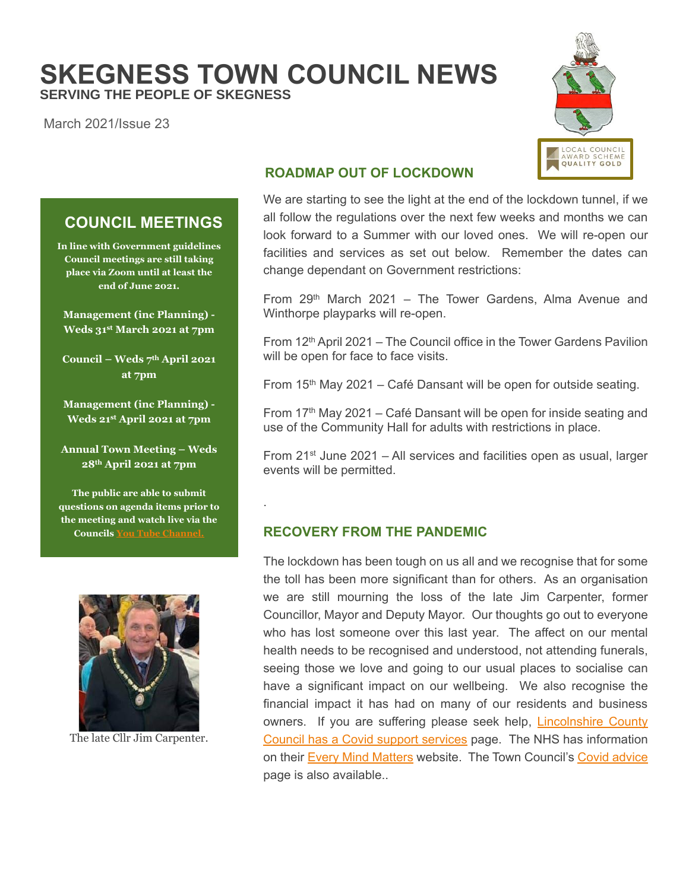# **SKEGNESS TOWN COUNCIL NEWS SERVING THE PEOPLE OF SKEGNESS**

.

March 2021/Issue 23



# **ROADMAP OUT OF LOCKDOWN**

We are starting to see the light at the end of the lockdown tunnel, if we all follow the regulations over the next few weeks and months we can look forward to a Summer with our loved ones. We will re-open our facilities and services as set out below. Remember the dates can change dependant on Government restrictions:

From  $29<sup>th</sup>$  March 2021 – The Tower Gardens, Alma Avenue and Winthorpe playparks will re-open.

From  $12<sup>th</sup>$  April 2021 – The Council office in the Tower Gardens Pavilion will be open for face to face visits.

From  $15<sup>th</sup>$  May 2021 – Café Dansant will be open for outside seating.

From 17<sup>th</sup> May 2021 – Café Dansant will be open for inside seating and use of the Community Hall for adults with restrictions in place.

From  $21^{st}$  June 2021 – All services and facilities open as usual, larger events will be permitted.

## **RECOVERY FROM THE PANDEMIC**

The lockdown has been tough on us all and we recognise that for some the toll has been more significant than for others. As an organisation we are still mourning the loss of the late Jim Carpenter, former Councillor, Mayor and Deputy Mayor. Our thoughts go out to everyone who has lost someone over this last year. The affect on our mental health needs to be recognised and understood, not attending funerals, seeing those we love and going to our usual places to socialise can have a significant impact on our wellbeing. We also recognise the financial impact it has had on many of our residents and business owners. If you are suffering please seek help, **Lincolnshire County** [Council has a Covid support services](https://www.lincolnshire.gov.uk/coronavirus-support-services) page. The NHS has information on their [Every Mind Matters](https://www.nhs.uk/oneyou/every-mind-matters/coronavirus-covid-19-staying-at-home-tips/) website. The Town Council's [Covid advice](https://www.skegness.gov.uk/covid-19-coronavirus-advice.html) page is also available..

# **COUNCIL MEETINGS**

**In line with Government guidelines Council meetings are still taking place via Zoom until at least the end of June 2021.**

**Management (inc Planning) - Weds 31st March 2021 at 7pm**

**Council – Weds 7 th April 2021 at 7pm**

**Management (inc Planning) - Weds 21 st April 2021 at 7pm**

**Annual Town Meeting – Weds 28th April 2021 at 7pm**

**The public are able to submit questions on agenda items prior to the meeting and watch live via the Councils You Tube C** 



The late Cllr Jim Carpenter.